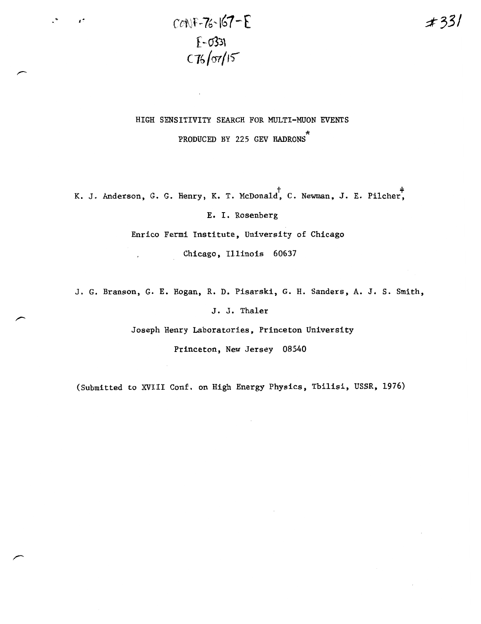$COMF - 76 - 167 - E$  $E - 0331$  $C76/07/15$ 

## HIGH SENSITIVITY SEARCH FOR MULTI-MUON EVENTS PRODUCED BY 225 GEV HADRONS

K. J. Anderson, G. G. Henry, K. T. McDonald, C. Newman, J. E. Pilcher,

E. I. Rosenberg

Enrico Fermi Institute, University of Chicago

Chicago, Illinois 60637

J. G. Branson, G. E. Hogan, R. D. Pisarski, G. H. Sanders, A. J. S. Smith,

J. J. Thaler

Joseph Henry Laboratories, Princeton University

Princeton, New Jersey 08540

(Submitted to XVIII Conf. on High Energy Physics, Tbilisi, USSR, 1976)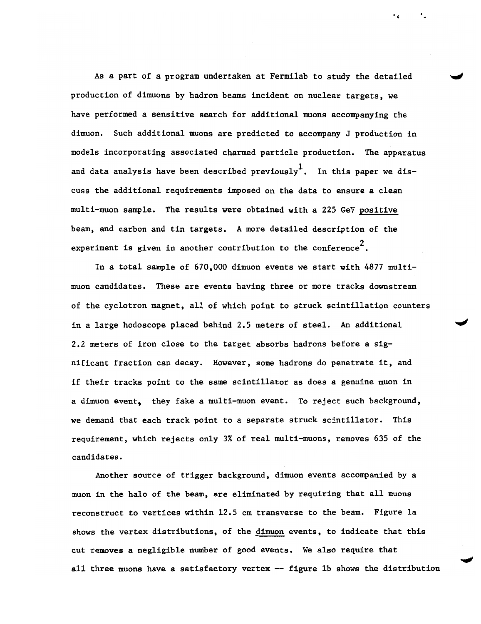As a part of a program undertaken at Fermi1ab to study the detailed production of dimuons by hadron beams incident on nuclear targets, we have performed a sensitive search for additional muons accompanying the dimuon. Such additional muons are predicted to accompany J production in models incorporating associated charmed particle production. The apparatus and data analysis have been described previously<sup>1</sup>. In this paper we discuss the additional requirements imposed on the data to ensure a clean multi-muon sample. The results were obtained with a 225 GeV positive beam, and carbon and tin targets. A more detailed description of the experiment is given in another contribution to the conference<sup> $2$ </sup>.

In a total sample of 670,000 dimuon events we start with 4877 mu1timuon candidates. These are events having three or more tracks downstream of the cyclotron magnet, all of which point to struck scintillation counters in a large hodoscope placed behind 2.5 meters of steel. An additional 2.2 meters of iron close to the target absorbs hadrons before a significant fraction can decay. However, some hadrons do penetrate it, and if their tracks point to the same scintillator as does a genuine muon in a dimuon event, they fake a multi-muon event. To reject such background, we demand that each track point to a separate struck scintillator. This requirement, which rejects only 3% of real multi-muons, removes 635 of the candidates.

Another source of trigger background, dimuon events accompanied by a muon in the halo of the beam, are eliminated by requiring that all muons reconstruct to vertices within 12.5 cm transverse to the beam. Figure 1a shows the vertex distributions, of the dimuon events, to indicate that this cut removes a negligible number of good events. We also require that all three muons have a satisfactory vertex  $-$  figure 1b shows the distribution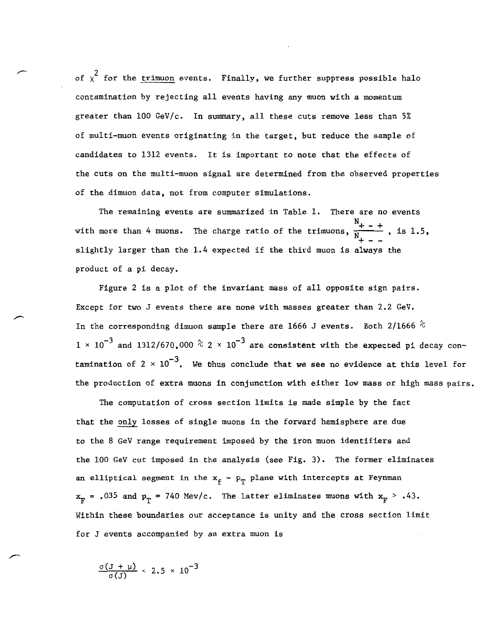of  $\chi^2$  for the trimuon events. Finally, we further suppress possible halo contamination by rejecting all events having any muon with a momentum greater than 100 GeV/c. In summary, all these cuts remove less than 5% of multi-muon events originating in the target, but reduce the sample of candidates to 1312 events. It is important to note that the effects of the cuts on the multi-muon signal are determined from the observed properties of the dimuon data, not from computer simulations.

The remaining events are summarized in Table 1. There are no events  $N_{+ - +}$ with more than 4 muons. The charge ratio of the trimuons,  $\frac{+ - +}{N}$ , is 1.5, slightly larger than the 1.4 expected if the third muon is always the product of a pi decay.

Figure 2 is a plot of the invariant mass of all opposite sign pairs. Except for two J events there are none with masses greater than 2.2 GeV. In the corresponding dimuon sample there are 1666 J events. Both 2/1666  $\%$  $1$  ×  $10^{-3}$  and 1312/670,000  $^{\circ}\!\!\mathrm{c}$  2 ×  $10^{-3}$  are consistent with the expected pi decay contamination of 2  $\times$  10 $^{-3}$ . We thus conclude that we see no evidence at this level for the production of extra muons in conjunction with either *low* mass or high mass pairs.

The computation of cross section limits is made simple by the fact that the only losses of single muons in the forward hemisphere are due to the 8 GeV range requirement imposed by the iron muon identifiers and the 100 GeV cut imposed in the analysis (see Fig. 3). The former eliminates an elliptical segment in the  $x_f - p_T$  plane with intercepts at Feynman  $x_F = .035$  and  $p_T = 740$  Mev/c. The latter eliminates muons with  $x_F > .43$ . Within these boundaries our acceptance is unity and the cross section limit for J events accompanied by an extra muon is

 $\frac{\sigma(3 + \mu)}{2.5 \times 10^{-3}}$  $\alpha(1)$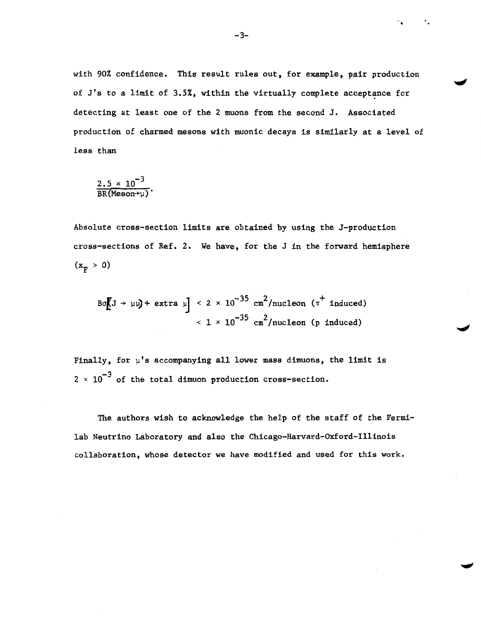with 90% confidence. This result rules out, for example, pair production of  $J's$  to a limit of 3.5%, within the virtually complete acceptance for detecting at least one of the 2 muons from the second J. Associated production of charmed mesons with muonic decays is similarly at a level of less than

$$
\frac{2.5 \times 10^{-3}}{BR(Meson \rightarrow \mu)}.
$$

Absolute cross-section limits are obtained by using the J-production cross-sections of Ref. 2. We have, for the J in the forward hemisphere  $(x_{\rm r} > 0)$ 

 $B\sigma\left[\left(J + \mu\right)\right] + \text{extra } \mu\right] < 2 \times 10^{-35} \text{ cm}^2/\text{nucleon } (\pi^+ \text{ induced})$  $<$  1  $\times$  10<sup>-35</sup> cm<sup>2</sup>/nucleon (p induced)

Finally, for  $\mu$ 's accompanying all lower mass dimuons, the limit is  $2 \times 10^{-3}$  of the total dimuon production cross-section.

The authors wish to acknowledge the help of the staff of the Fermilab Neutrino Laboratory and also the Chicago-Harvard-Oxford-I1linois collaboration, whose detector we have modified and used for this work.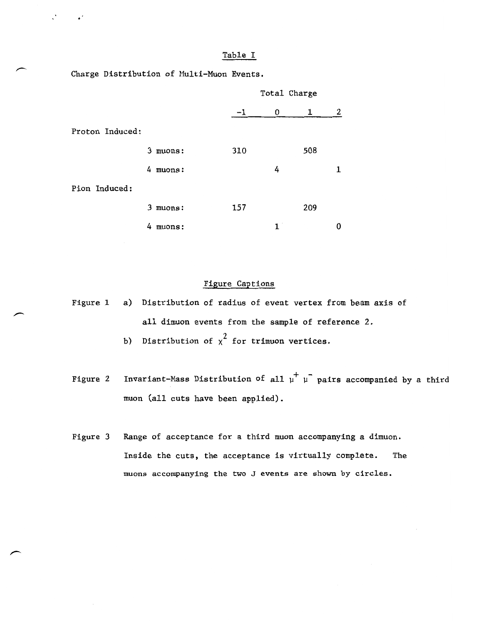Charge Distribution of Hulti-Muon Events.

|                 |             |     | Total Charge |     |   |  |
|-----------------|-------------|-----|--------------|-----|---|--|
|                 |             | -1  | 0            | 1   | 2 |  |
| Proton Induced: |             |     |              |     |   |  |
|                 | muons:<br>3 | 310 |              | 508 |   |  |
|                 | 4 muons:    |     | 4            |     | 1 |  |
| Pion Induced:   |             |     |              |     |   |  |
|                 | muons:<br>3 | 157 |              | 209 |   |  |
|                 | 4<br>muons: |     | 1            |     | ŋ |  |

## Figure Captions

Figure 1 a) Distribution of radius of event vertex from beam axis of all dimuon events from the sample of reference 2.

b) Distribution of  $\chi^2$  for trimuon vertices.

Figure 2 Invariant-Mass Distribution of all  $\mu^+$   $\mu^-$  pairs accompanied by a third muon (all cuts have been applied).

Figure 3 Range of acceptance for a third muon accompanying a dimuon. Inside the cuts, the acceptance is virtually complete. The muons accompanying the two J events are shown by circles.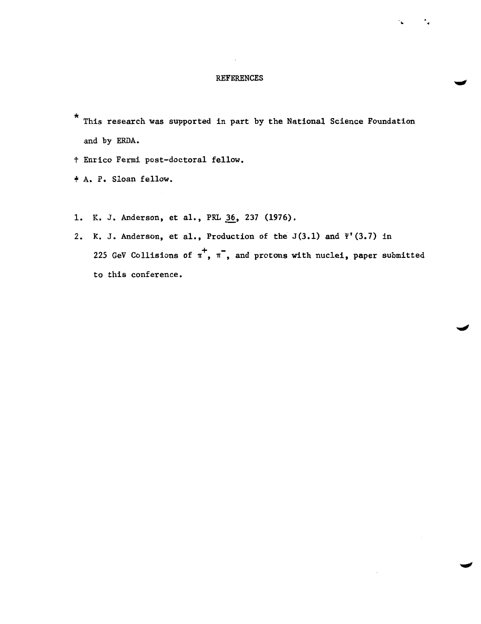## REFERENCES

..

\* This research was supported in part by the National Science Foundation and by ERDA.

t Enrico Fermi post-doctoral fellow.

+ A. P. Sloan fellow.

- 1. K. J. Anderson, et al., PRL 36, 237 (1976).
- 2. K. J. Anderson, et al., Production of the  $J(3.1)$  and  $\Psi'(3.7)$  in 225 GeV Collisions of  $\pi^+$ ,  $\pi^-$ , and protons with nuclei, paper submitted to this conference.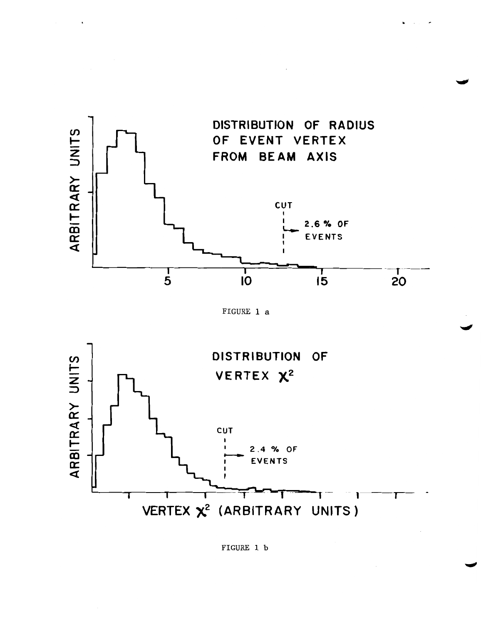





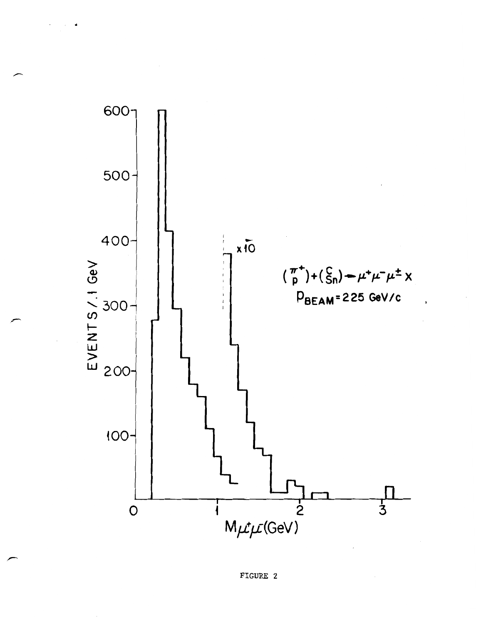